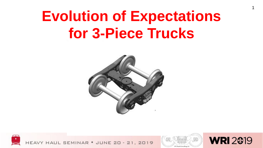# **Evolution of Expectations for 3-Piece Trucks**







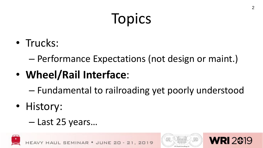# **Topics**

• Trucks:

– Performance Expectations (not design or maint.)

- **Wheel/Rail Interface**:
	- Fundamental to railroading yet poorly understood
- History:

### – Last 25 years…





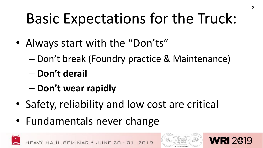# Basic Expectations for the Truck:

- Always start with the "Don'ts"
	- Don't break (Foundry practice & Maintenance)
	- **Don't derail**
	- **Don't wear rapidly**
- Safety, reliability and low cost are critical
- Fundamentals never change





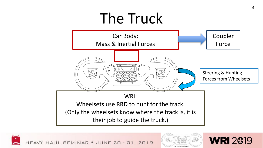# The Truck







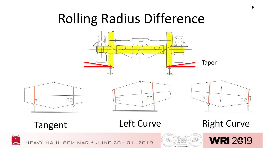### Rolling Radius Difference









Tangent Left Curve Right Curve



HEAVY HAUL SEMINAR . JUNE 20 - 21, 2019



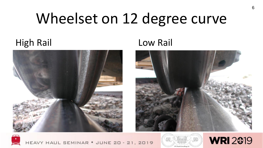# Wheelset on 12 degree curve

### High Rail **Low Rail**







HEAVY HAUL SEMINAR . JUNE 20 - 21, 2019



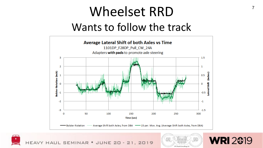### Wheelset RRD  $\frac{7}{7}$ Wants to follow the track







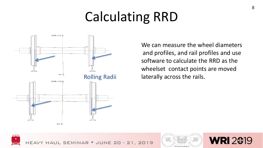### Calculating RRD



We can measure the wheel diameters and profiles, and rail profiles and use software to calculate the RRD as the wheelset contact points are moved Rolling Radii laterally across the rails.





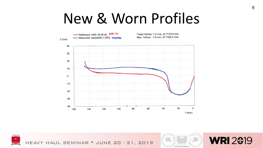### New & Worn Profiles







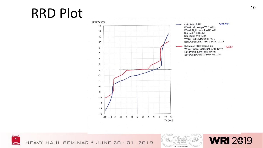# $RRD$   $Plot$



WORN Calculated RRD: Wheel Left: sampleWL1.WHL Wheel Right: sampleWR1.WHL Rail Left: 119RE.txt Rail Right: 119RE.txt Wheel Radii, Left/Right: 0 / 0 Back/Gage/Cant: 1347 / 1435 / 0.025 Reference RRD: tecon2.inp NEW Wheel Profile, Left/Right: AAR-1B-W Rail Profile, Left/Right: 136RE Back/Gage/Cant: 1347/1435/0.025





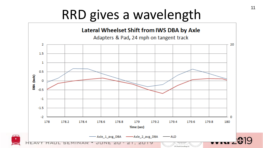### RRD gives a wavelength

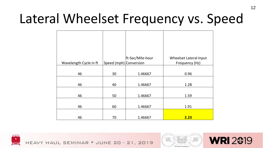### Lateral Wheelset Frequency vs. Speed

| Wavelength Cycle in ft | Speed (mph) Conversion | ft-Sec/Mile-hour | Wheelset Lateral Input<br>Frequency (Hz) |
|------------------------|------------------------|------------------|------------------------------------------|
| 46                     | 30                     | 1.46667          | 0.96                                     |
| 46                     | 40                     | 1.46667          | 1.28                                     |
| 46                     | 50                     | 1.46667          | 1.59                                     |
| 46                     | 60                     | 1.46667          | 1.91                                     |
| 46                     | 70                     | 1.46667          | 2.23                                     |





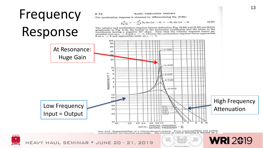### Frequency

### **BASIC VIBRATION THEORY**

The acceleration response is obtained by differentiating Eq. (2.36):

 $2 - 12$ 

$$
\frac{x}{F_0/m} = -\frac{\omega^2}{\omega_n^2} R_d \sin(\omega t - \theta) = -R_a \sin(\omega t - \theta)
$$
 (2.37)

The velocity and acceleration response factors defined by Eqs. (2.36) and (2.37) are shown In evelocity and accepteration responses ratios channel coordinates and the latter to the graphically in Fig. 2.13, the former to the horizontal coordinates and the latter to the graphical property at negative 45° slope. Note that the velocity response factor apcoordinates naving a negative  $\sim$  so, whereas the acceleration response factor approaches 0 as  $\omega \rightarrow 0$  and approaches unity as  $\omega \rightarrow \infty$ .

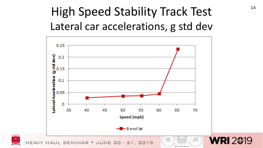### High Speed Stability Track Test 14 Lateral car accelerations, g std dev

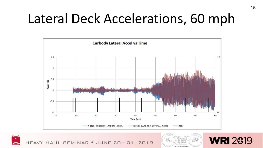### Lateral Deck Accelerations, 60 mph







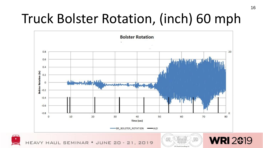### Truck Bolster Rotation, (inch) 60 mph

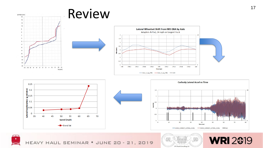

HEAVY HAUL SEMINAR . JUNE 20 - 21, 2019

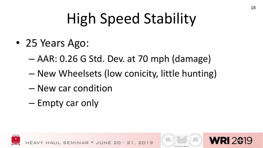# High Speed Stability

- 25 Years Ago:
	- AAR: 0.26 G Std. Dev. at 70 mph (damage)
	- New Wheelsets (low conicity, little hunting)
	- New car condition
	- Empty car only





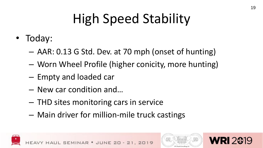## High Speed Stability

- Today:
	- AAR: 0.13 G Std. Dev. at 70 mph (onset of hunting)
	- Worn Wheel Profile (higher conicity, more hunting)
	- Empty and loaded car
	- New car condition and…
	- THD sites monitoring cars in service
	- Main driver for million-mile truck castings





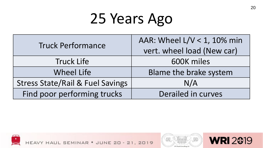# 25 Years Ago

| <b>Truck Performance</b>                    | AAR: Wheel L/V < 1, 10% min |  |
|---------------------------------------------|-----------------------------|--|
|                                             | vert. wheel load (New car)  |  |
| <b>Truck Life</b>                           | 600K miles                  |  |
| <b>Wheel Life</b>                           | Blame the brake system      |  |
| <b>Stress State/Rail &amp; Fuel Savings</b> | N/A                         |  |
| Find poor performing trucks                 | Derailed in curves          |  |



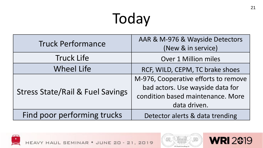# Today

| <b>Truck Performance</b>                    | AAR & M-976 & Wayside Detectors<br>(New & in service)                                                                         |
|---------------------------------------------|-------------------------------------------------------------------------------------------------------------------------------|
| <b>Truck Life</b>                           | <b>Over 1 Million miles</b>                                                                                                   |
| <b>Wheel Life</b>                           | RCF, WILD, CEPM, TC brake shoes                                                                                               |
| <b>Stress State/Rail &amp; Fuel Savings</b> | M-976, Cooperative efforts to remove<br>bad actors. Use wayside data for<br>condition based maintenance. More<br>data driven. |
| Find poor performing trucks                 | Detector alerts & data trending                                                                                               |





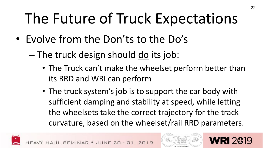# The Future of Truck Expectations

- Evolve from the Don'ts to the Do's
	- $-$  The truck design should <u>do</u> its job:
		- The Truck can't make the wheelset perform better than its RRD and WRI can perform
		- The truck system's job is to support the car body with sufficient damping and stability at speed, while letting the wheelsets take the correct trajectory for the track curvature, based on the wheelset/rail RRD parameters.



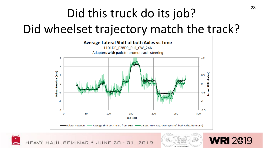### Did this truck do its job?

### Did wheelset trajectory match the track?







**WRI 2019**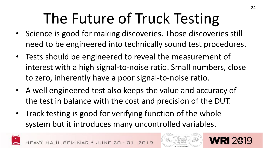# The Future of Truck Testing

- Science is good for making discoveries. Those discoveries still need to be engineered into technically sound test procedures.
- Tests should be engineered to reveal the measurement of interest with a high signal-to-noise ratio. Small numbers, close to zero, inherently have a poor signal-to-noise ratio.
- A well engineered test also keeps the value and accuracy of the test in balance with the cost and precision of the DUT.
- Track testing is good for verifying function of the whole system but it introduces many uncontrolled variables.



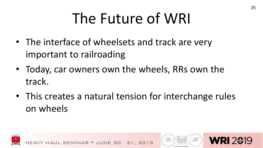# The Future of WRI

- The interface of wheelsets and track are very important to railroading
- Today, car owners own the wheels, RRs own the track.
- This creates a natural tension for interchange rules on wheels





25

**RI 2619**